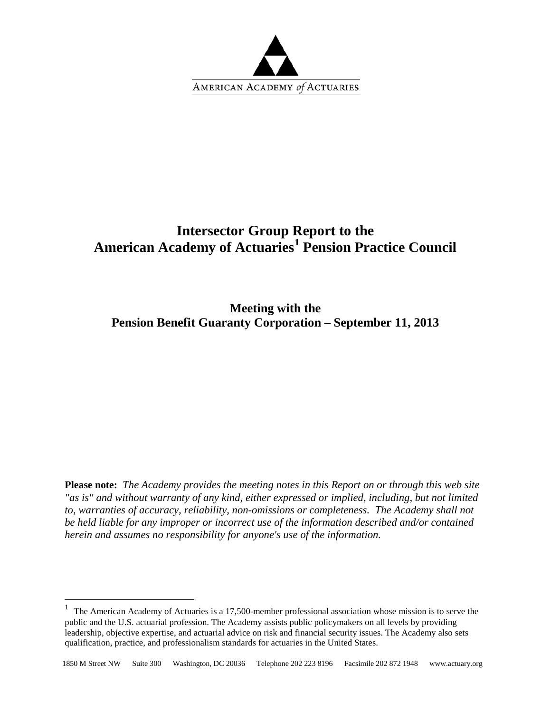

# **Intersector Group Report to the American Academy of Actuaries[1](#page-0-0) Pension Practice Council**

**Meeting with the Pension Benefit Guaranty Corporation – September 11, 2013**

**Please note:** *The Academy provides the meeting notes in this Report on or through this web site "as is" and without warranty of any kind, either expressed or implied, including, but not limited to, warranties of accuracy, reliability, non-omissions or completeness. The Academy shall not be held liable for any improper or incorrect use of the information described and/or contained herein and assumes no responsibility for anyone's use of the information.* 

 $\overline{a}$ 

<span id="page-0-0"></span><sup>&</sup>lt;sup>1</sup> The American Academy of Actuaries is a 17,500-member professional association whose mission is to serve the public and the U.S. actuarial profession. The Academy assists public policymakers on all levels by providing leadership, objective expertise, and actuarial advice on risk and financial security issues. The Academy also sets qualification, practice, and professionalism standards for actuaries in the United States.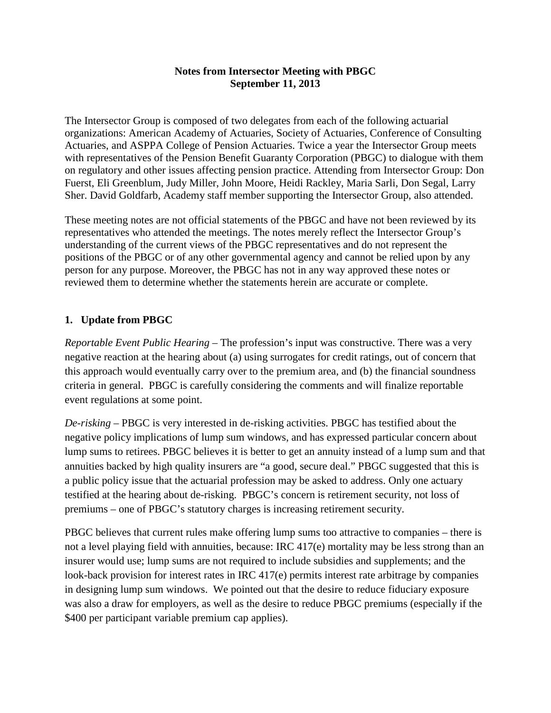The Intersector Group is composed of two delegates from each of the following actuarial organizations: American Academy of Actuaries, Society of Actuaries, Conference of Consulting Actuaries, and ASPPA College of Pension Actuaries. Twice a year the Intersector Group meets with representatives of the Pension Benefit Guaranty Corporation (PBGC) to dialogue with them on regulatory and other issues affecting pension practice. Attending from Intersector Group: Don Fuerst, Eli Greenblum, Judy Miller, John Moore, Heidi Rackley, Maria Sarli, Don Segal, Larry Sher. David Goldfarb, Academy staff member supporting the Intersector Group, also attended.

These meeting notes are not official statements of the PBGC and have not been reviewed by its representatives who attended the meetings. The notes merely reflect the Intersector Group's understanding of the current views of the PBGC representatives and do not represent the positions of the PBGC or of any other governmental agency and cannot be relied upon by any person for any purpose. Moreover, the PBGC has not in any way approved these notes or reviewed them to determine whether the statements herein are accurate or complete.

#### **1. Update from PBGC**

*Reportable Event Public Hearing* – The profession's input was constructive. There was a very negative reaction at the hearing about (a) using surrogates for credit ratings, out of concern that this approach would eventually carry over to the premium area, and (b) the financial soundness criteria in general. PBGC is carefully considering the comments and will finalize reportable event regulations at some point.

*De-risking* – PBGC is very interested in de-risking activities. PBGC has testified about the negative policy implications of lump sum windows, and has expressed particular concern about lump sums to retirees. PBGC believes it is better to get an annuity instead of a lump sum and that annuities backed by high quality insurers are "a good, secure deal." PBGC suggested that this is a public policy issue that the actuarial profession may be asked to address. Only one actuary testified at the hearing about de-risking. PBGC's concern is retirement security, not loss of premiums – one of PBGC's statutory charges is increasing retirement security.

PBGC believes that current rules make offering lump sums too attractive to companies – there is not a level playing field with annuities, because: IRC 417(e) mortality may be less strong than an insurer would use; lump sums are not required to include subsidies and supplements; and the look-back provision for interest rates in IRC 417(e) permits interest rate arbitrage by companies in designing lump sum windows. We pointed out that the desire to reduce fiduciary exposure was also a draw for employers, as well as the desire to reduce PBGC premiums (especially if the \$400 per participant variable premium cap applies).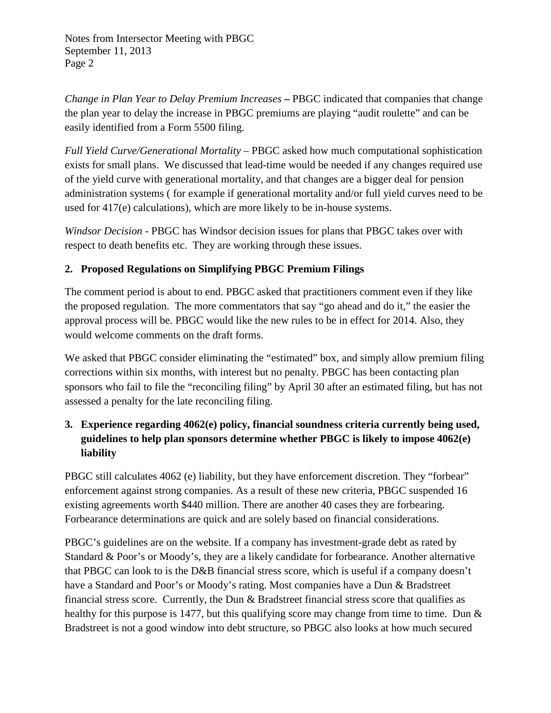*Change in Plan Year to Delay Premium Increases* **–** PBGC indicated that companies that change the plan year to delay the increase in PBGC premiums are playing "audit roulette" and can be easily identified from a Form 5500 filing.

*Full Yield Curve/Generational Mortality* – PBGC asked how much computational sophistication exists for small plans. We discussed that lead-time would be needed if any changes required use of the yield curve with generational mortality, and that changes are a bigger deal for pension administration systems ( for example if generational mortality and/or full yield curves need to be used for 417(e) calculations), which are more likely to be in-house systems.

*Windsor Decision* - PBGC has Windsor decision issues for plans that PBGC takes over with respect to death benefits etc. They are working through these issues.

## **2. Proposed Regulations on Simplifying PBGC Premium Filings**

The comment period is about to end. PBGC asked that practitioners comment even if they like the proposed regulation. The more commentators that say "go ahead and do it," the easier the approval process will be. PBGC would like the new rules to be in effect for 2014. Also, they would welcome comments on the draft forms.

We asked that PBGC consider eliminating the "estimated" box, and simply allow premium filing corrections within six months, with interest but no penalty. PBGC has been contacting plan sponsors who fail to file the "reconciling filing" by April 30 after an estimated filing, but has not assessed a penalty for the late reconciling filing.

# **3. Experience regarding 4062(e) policy, financial soundness criteria currently being used, guidelines to help plan sponsors determine whether PBGC is likely to impose 4062(e) liability**

PBGC still calculates 4062 (e) liability, but they have enforcement discretion. They "forbear" enforcement against strong companies. As a result of these new criteria, PBGC suspended 16 existing agreements worth \$440 million. There are another 40 cases they are forbearing. Forbearance determinations are quick and are solely based on financial considerations.

PBGC's guidelines are on the website. If a company has investment-grade debt as rated by Standard & Poor's or Moody's, they are a likely candidate for forbearance. Another alternative that PBGC can look to is the D&B financial stress score, which is useful if a company doesn't have a Standard and Poor's or Moody's rating. Most companies have a Dun & Bradstreet financial stress score. Currently, the Dun & Bradstreet financial stress score that qualifies as healthy for this purpose is 1477, but this qualifying score may change from time to time. Dun & Bradstreet is not a good window into debt structure, so PBGC also looks at how much secured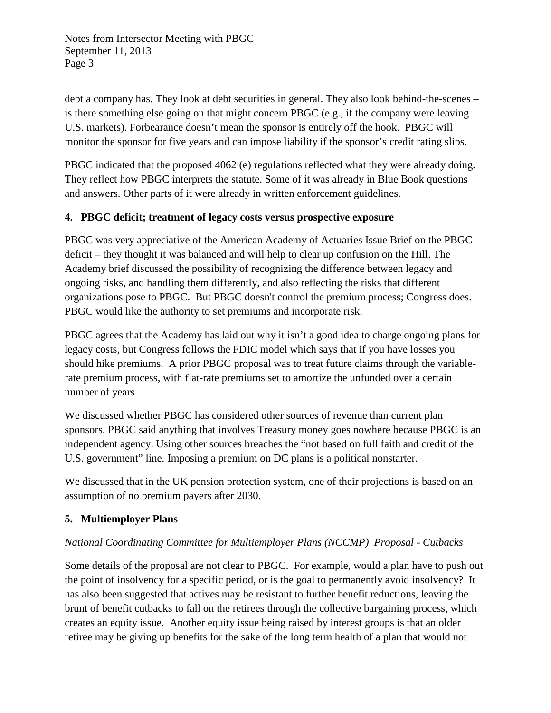debt a company has. They look at debt securities in general. They also look behind-the-scenes – is there something else going on that might concern PBGC (e.g., if the company were leaving U.S. markets). Forbearance doesn't mean the sponsor is entirely off the hook. PBGC will monitor the sponsor for five years and can impose liability if the sponsor's credit rating slips.

PBGC indicated that the proposed 4062 (e) regulations reflected what they were already doing. They reflect how PBGC interprets the statute. Some of it was already in Blue Book questions and answers. Other parts of it were already in written enforcement guidelines.

#### **4. PBGC deficit; treatment of legacy costs versus prospective exposure**

PBGC was very appreciative of the American Academy of Actuaries Issue Brief on the PBGC deficit – they thought it was balanced and will help to clear up confusion on the Hill. The Academy brief discussed the possibility of recognizing the difference between legacy and ongoing risks, and handling them differently, and also reflecting the risks that different organizations pose to PBGC. But PBGC doesn't control the premium process; Congress does. PBGC would like the authority to set premiums and incorporate risk.

PBGC agrees that the Academy has laid out why it isn't a good idea to charge ongoing plans for legacy costs, but Congress follows the FDIC model which says that if you have losses you should hike premiums. A prior PBGC proposal was to treat future claims through the variablerate premium process, with flat-rate premiums set to amortize the unfunded over a certain number of years

We discussed whether PBGC has considered other sources of revenue than current plan sponsors. PBGC said anything that involves Treasury money goes nowhere because PBGC is an independent agency. Using other sources breaches the "not based on full faith and credit of the U.S. government" line. Imposing a premium on DC plans is a political nonstarter.

We discussed that in the UK pension protection system, one of their projections is based on an assumption of no premium payers after 2030.

## **5. Multiemployer Plans**

#### *National Coordinating Committee for Multiemployer Plans (NCCMP) Proposal - Cutbacks*

Some details of the proposal are not clear to PBGC. For example, would a plan have to push out the point of insolvency for a specific period, or is the goal to permanently avoid insolvency? It has also been suggested that actives may be resistant to further benefit reductions, leaving the brunt of benefit cutbacks to fall on the retirees through the collective bargaining process, which creates an equity issue. Another equity issue being raised by interest groups is that an older retiree may be giving up benefits for the sake of the long term health of a plan that would not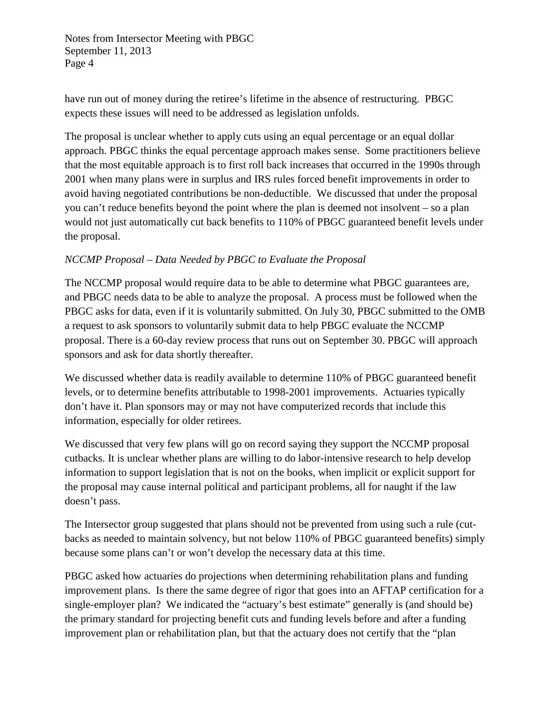have run out of money during the retiree's lifetime in the absence of restructuring. PBGC expects these issues will need to be addressed as legislation unfolds.

The proposal is unclear whether to apply cuts using an equal percentage or an equal dollar approach. PBGC thinks the equal percentage approach makes sense. Some practitioners believe that the most equitable approach is to first roll back increases that occurred in the 1990s through 2001 when many plans were in surplus and IRS rules forced benefit improvements in order to avoid having negotiated contributions be non-deductible. We discussed that under the proposal you can't reduce benefits beyond the point where the plan is deemed not insolvent – so a plan would not just automatically cut back benefits to 110% of PBGC guaranteed benefit levels under the proposal.

## *NCCMP Proposal – Data Needed by PBGC to Evaluate the Proposal*

The NCCMP proposal would require data to be able to determine what PBGC guarantees are, and PBGC needs data to be able to analyze the proposal. A process must be followed when the PBGC asks for data, even if it is voluntarily submitted. On July 30, PBGC submitted to the OMB a request to ask sponsors to voluntarily submit data to help PBGC evaluate the NCCMP proposal. There is a 60-day review process that runs out on September 30. PBGC will approach sponsors and ask for data shortly thereafter.

We discussed whether data is readily available to determine 110% of PBGC guaranteed benefit levels, or to determine benefits attributable to 1998-2001 improvements. Actuaries typically don't have it. Plan sponsors may or may not have computerized records that include this information, especially for older retirees.

We discussed that very few plans will go on record saying they support the NCCMP proposal cutbacks. It is unclear whether plans are willing to do labor-intensive research to help develop information to support legislation that is not on the books, when implicit or explicit support for the proposal may cause internal political and participant problems, all for naught if the law doesn't pass.

The Intersector group suggested that plans should not be prevented from using such a rule (cutbacks as needed to maintain solvency, but not below 110% of PBGC guaranteed benefits) simply because some plans can't or won't develop the necessary data at this time.

PBGC asked how actuaries do projections when determining rehabilitation plans and funding improvement plans. Is there the same degree of rigor that goes into an AFTAP certification for a single-employer plan? We indicated the "actuary's best estimate" generally is (and should be) the primary standard for projecting benefit cuts and funding levels before and after a funding improvement plan or rehabilitation plan, but that the actuary does not certify that the "plan